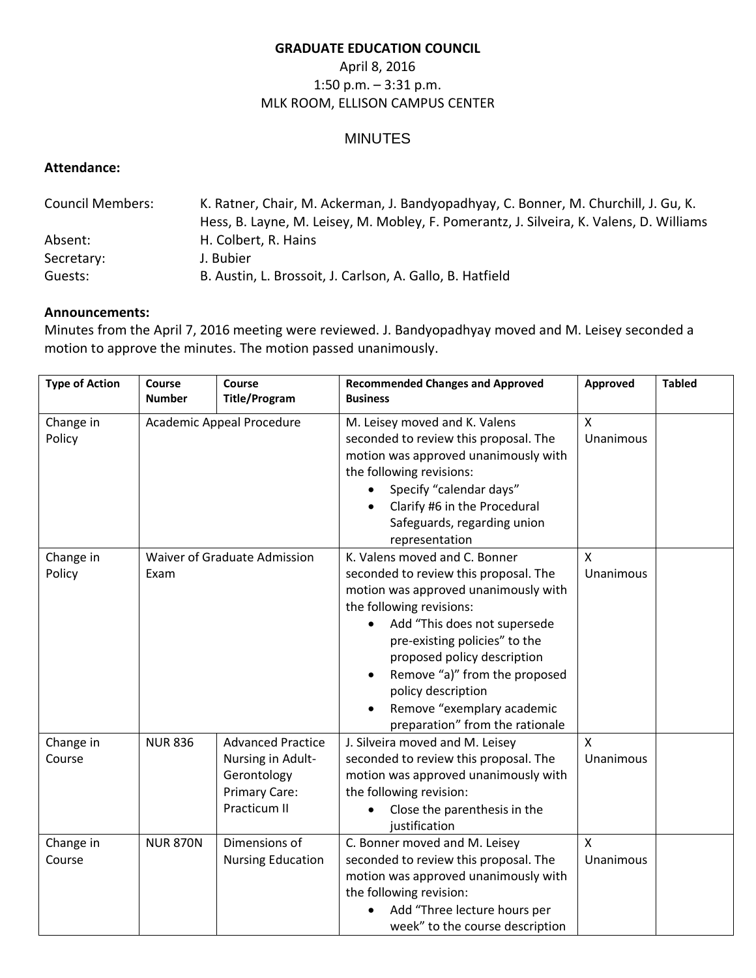#### **GRADUATE EDUCATION COUNCIL**

# April 8, 2016 1:50 p.m. – 3:31 p.m. MLK ROOM, ELLISON CAMPUS CENTER

## MINUTES

### **Attendance:**

| <b>Council Members:</b> | K. Ratner, Chair, M. Ackerman, J. Bandyopadhyay, C. Bonner, M. Churchill, J. Gu, K.<br>Hess, B. Layne, M. Leisey, M. Mobley, F. Pomerantz, J. Silveira, K. Valens, D. Williams |
|-------------------------|--------------------------------------------------------------------------------------------------------------------------------------------------------------------------------|
| Absent:                 | H. Colbert, R. Hains                                                                                                                                                           |
| Secretary:              | J. Bubier                                                                                                                                                                      |
| Guests:                 | B. Austin, L. Brossoit, J. Carlson, A. Gallo, B. Hatfield                                                                                                                      |

#### **Announcements:**

Minutes from the April 7, 2016 meeting were reviewed. J. Bandyopadhyay moved and M. Leisey seconded a motion to approve the minutes. The motion passed unanimously.

| <b>Type of Action</b> | Course<br><b>Number</b>              | Course<br><b>Title/Program</b>                                                                | <b>Recommended Changes and Approved</b><br><b>Business</b>                                                                                                                                                                                                                                                                                                         | Approved                  | <b>Tabled</b> |
|-----------------------|--------------------------------------|-----------------------------------------------------------------------------------------------|--------------------------------------------------------------------------------------------------------------------------------------------------------------------------------------------------------------------------------------------------------------------------------------------------------------------------------------------------------------------|---------------------------|---------------|
| Change in<br>Policy   | Academic Appeal Procedure            |                                                                                               | M. Leisey moved and K. Valens<br>seconded to review this proposal. The<br>motion was approved unanimously with<br>the following revisions:<br>Specify "calendar days"<br>Clarify #6 in the Procedural<br>Safeguards, regarding union<br>representation                                                                                                             | $\mathsf{x}$<br>Unanimous |               |
| Change in<br>Policy   | Waiver of Graduate Admission<br>Exam |                                                                                               | K. Valens moved and C. Bonner<br>seconded to review this proposal. The<br>motion was approved unanimously with<br>the following revisions:<br>Add "This does not supersede<br>pre-existing policies" to the<br>proposed policy description<br>Remove "a)" from the proposed<br>policy description<br>Remove "exemplary academic<br>preparation" from the rationale | $\mathsf{x}$<br>Unanimous |               |
| Change in<br>Course   | <b>NUR 836</b>                       | <b>Advanced Practice</b><br>Nursing in Adult-<br>Gerontology<br>Primary Care:<br>Practicum II | J. Silveira moved and M. Leisey<br>seconded to review this proposal. The<br>motion was approved unanimously with<br>the following revision:<br>Close the parenthesis in the<br>justification                                                                                                                                                                       | $\mathsf{x}$<br>Unanimous |               |
| Change in<br>Course   | <b>NUR 870N</b>                      | Dimensions of<br><b>Nursing Education</b>                                                     | C. Bonner moved and M. Leisey<br>seconded to review this proposal. The<br>motion was approved unanimously with<br>the following revision:<br>Add "Three lecture hours per<br>week" to the course description                                                                                                                                                       | $\mathsf{x}$<br>Unanimous |               |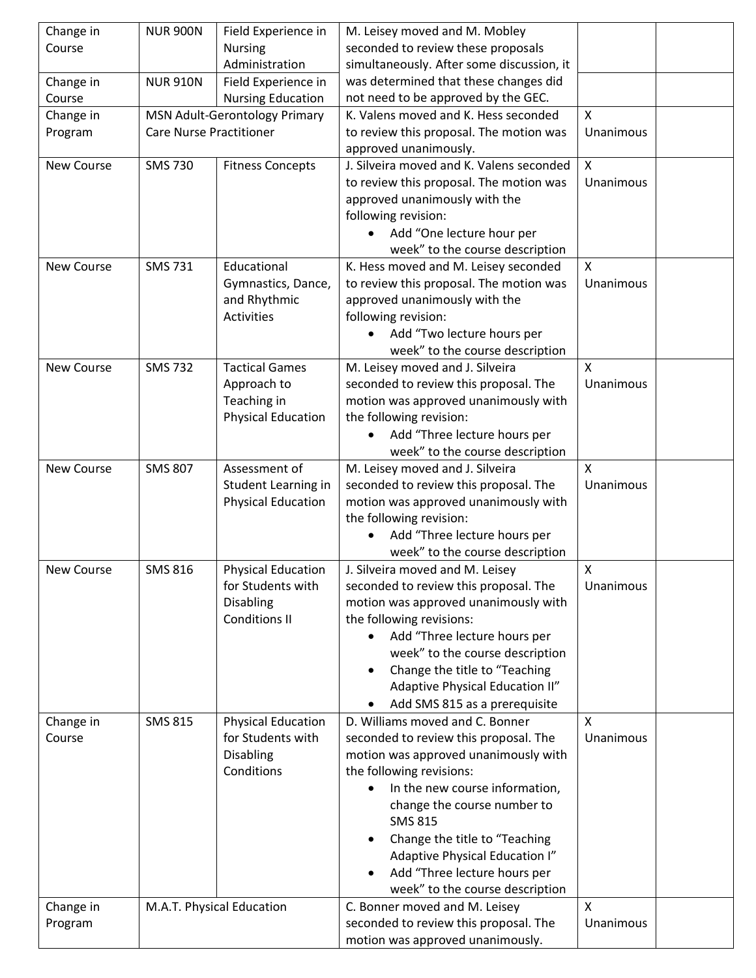| Change in  | <b>NUR 900N</b>                | Field Experience in       | M. Leisey moved and M. Mobley              |              |  |
|------------|--------------------------------|---------------------------|--------------------------------------------|--------------|--|
| Course     |                                | <b>Nursing</b>            | seconded to review these proposals         |              |  |
|            |                                | Administration            | simultaneously. After some discussion, it  |              |  |
| Change in  | <b>NUR 910N</b>                | Field Experience in       | was determined that these changes did      |              |  |
| Course     |                                | <b>Nursing Education</b>  | not need to be approved by the GEC.        |              |  |
| Change in  | MSN Adult-Gerontology Primary  |                           | K. Valens moved and K. Hess seconded       | $\mathsf{x}$ |  |
| Program    | <b>Care Nurse Practitioner</b> |                           | to review this proposal. The motion was    | Unanimous    |  |
|            |                                |                           | approved unanimously.                      |              |  |
| New Course | <b>SMS 730</b>                 | <b>Fitness Concepts</b>   | J. Silveira moved and K. Valens seconded   | $\mathsf{x}$ |  |
|            |                                |                           | to review this proposal. The motion was    | Unanimous    |  |
|            |                                |                           | approved unanimously with the              |              |  |
|            |                                |                           | following revision:                        |              |  |
|            |                                |                           | Add "One lecture hour per                  |              |  |
|            |                                |                           | week" to the course description            |              |  |
| New Course | <b>SMS 731</b>                 | Educational               | K. Hess moved and M. Leisey seconded       | X            |  |
|            |                                | Gymnastics, Dance,        | to review this proposal. The motion was    | Unanimous    |  |
|            |                                | and Rhythmic              | approved unanimously with the              |              |  |
|            |                                | <b>Activities</b>         | following revision:                        |              |  |
|            |                                |                           | Add "Two lecture hours per                 |              |  |
|            |                                |                           | week" to the course description            |              |  |
| New Course | <b>SMS 732</b>                 | <b>Tactical Games</b>     | M. Leisey moved and J. Silveira            | X            |  |
|            |                                | Approach to               | seconded to review this proposal. The      | Unanimous    |  |
|            |                                | Teaching in               | motion was approved unanimously with       |              |  |
|            |                                | <b>Physical Education</b> | the following revision:                    |              |  |
|            |                                |                           | Add "Three lecture hours per               |              |  |
|            |                                |                           | week" to the course description            |              |  |
| New Course | <b>SMS 807</b>                 | Assessment of             | M. Leisey moved and J. Silveira            | $\mathsf{x}$ |  |
|            |                                | Student Learning in       | seconded to review this proposal. The      | Unanimous    |  |
|            |                                | <b>Physical Education</b> | motion was approved unanimously with       |              |  |
|            |                                |                           | the following revision:                    |              |  |
|            |                                |                           | Add "Three lecture hours per               |              |  |
|            |                                |                           | week" to the course description            |              |  |
| New Course | <b>SMS 816</b>                 | <b>Physical Education</b> | J. Silveira moved and M. Leisey            | X            |  |
|            |                                | for Students with         | seconded to review this proposal. The      | Unanimous    |  |
|            |                                | <b>Disabling</b>          | motion was approved unanimously with       |              |  |
|            |                                | <b>Conditions II</b>      | the following revisions:                   |              |  |
|            |                                |                           | Add "Three lecture hours per               |              |  |
|            |                                |                           | week" to the course description            |              |  |
|            |                                |                           | Change the title to "Teaching<br>$\bullet$ |              |  |
|            |                                |                           | Adaptive Physical Education II"            |              |  |
|            |                                |                           | Add SMS 815 as a prerequisite              |              |  |
| Change in  | <b>SMS 815</b>                 | <b>Physical Education</b> | D. Williams moved and C. Bonner            | X            |  |
| Course     |                                | for Students with         | seconded to review this proposal. The      | Unanimous    |  |
|            |                                | <b>Disabling</b>          | motion was approved unanimously with       |              |  |
|            |                                | Conditions                | the following revisions:                   |              |  |
|            |                                |                           | In the new course information,             |              |  |
|            |                                |                           | change the course number to                |              |  |
|            |                                |                           | <b>SMS 815</b>                             |              |  |
|            |                                |                           | Change the title to "Teaching              |              |  |
|            |                                |                           | Adaptive Physical Education I"             |              |  |
|            |                                |                           | Add "Three lecture hours per               |              |  |
|            |                                |                           | week" to the course description            |              |  |
| Change in  |                                | M.A.T. Physical Education | C. Bonner moved and M. Leisey              | $\mathsf{x}$ |  |
| Program    |                                |                           | seconded to review this proposal. The      | Unanimous    |  |
|            |                                |                           | motion was approved unanimously.           |              |  |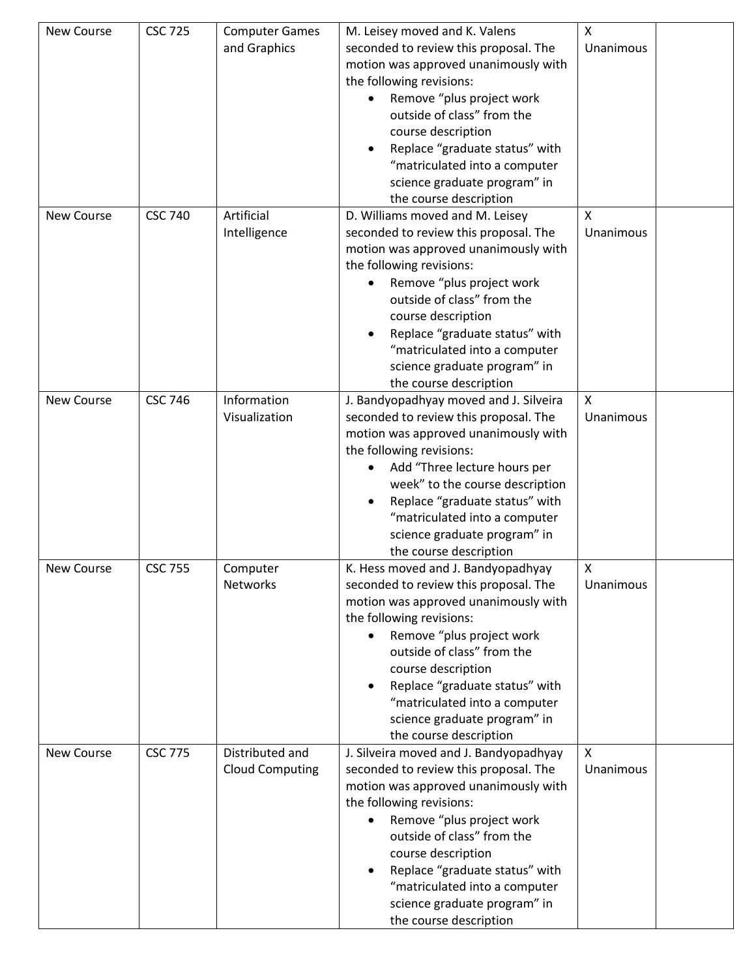| New Course        | <b>CSC 725</b> | <b>Computer Games</b>  | M. Leisey moved and K. Valens               | $\mathsf{x}$     |  |
|-------------------|----------------|------------------------|---------------------------------------------|------------------|--|
|                   |                | and Graphics           | seconded to review this proposal. The       | Unanimous        |  |
|                   |                |                        | motion was approved unanimously with        |                  |  |
|                   |                |                        | the following revisions:                    |                  |  |
|                   |                |                        | Remove "plus project work                   |                  |  |
|                   |                |                        | outside of class" from the                  |                  |  |
|                   |                |                        | course description                          |                  |  |
|                   |                |                        | Replace "graduate status" with              |                  |  |
|                   |                |                        | "matriculated into a computer               |                  |  |
|                   |                |                        | science graduate program" in                |                  |  |
|                   |                |                        | the course description                      |                  |  |
| New Course        | <b>CSC 740</b> | Artificial             | D. Williams moved and M. Leisey             | X                |  |
|                   |                | Intelligence           | seconded to review this proposal. The       | <b>Unanimous</b> |  |
|                   |                |                        | motion was approved unanimously with        |                  |  |
|                   |                |                        | the following revisions:                    |                  |  |
|                   |                |                        | Remove "plus project work                   |                  |  |
|                   |                |                        | outside of class" from the                  |                  |  |
|                   |                |                        | course description                          |                  |  |
|                   |                |                        | Replace "graduate status" with              |                  |  |
|                   |                |                        | "matriculated into a computer               |                  |  |
|                   |                |                        | science graduate program" in                |                  |  |
|                   |                |                        | the course description                      |                  |  |
| New Course        | <b>CSC 746</b> | Information            | J. Bandyopadhyay moved and J. Silveira      | $\mathsf{x}$     |  |
|                   |                | Visualization          | seconded to review this proposal. The       | Unanimous        |  |
|                   |                |                        | motion was approved unanimously with        |                  |  |
|                   |                |                        | the following revisions:                    |                  |  |
|                   |                |                        | Add "Three lecture hours per                |                  |  |
|                   |                |                        | week" to the course description             |                  |  |
|                   |                |                        | Replace "graduate status" with              |                  |  |
|                   |                |                        | "matriculated into a computer               |                  |  |
|                   |                |                        | science graduate program" in                |                  |  |
|                   |                |                        | the course description                      |                  |  |
| <b>New Course</b> | <b>CSC 755</b> | Computer               | K. Hess moved and J. Bandyopadhyay          | X                |  |
|                   |                | <b>Networks</b>        | seconded to review this proposal. The       | Unanimous        |  |
|                   |                |                        | motion was approved unanimously with        |                  |  |
|                   |                |                        | the following revisions:                    |                  |  |
|                   |                |                        | Remove "plus project work                   |                  |  |
|                   |                |                        | outside of class" from the                  |                  |  |
|                   |                |                        | course description                          |                  |  |
|                   |                |                        | Replace "graduate status" with<br>$\bullet$ |                  |  |
|                   |                |                        | "matriculated into a computer               |                  |  |
|                   |                |                        | science graduate program" in                |                  |  |
|                   |                |                        | the course description                      |                  |  |
| New Course        | <b>CSC 775</b> | Distributed and        | J. Silveira moved and J. Bandyopadhyay      | X                |  |
|                   |                | <b>Cloud Computing</b> | seconded to review this proposal. The       | Unanimous        |  |
|                   |                |                        | motion was approved unanimously with        |                  |  |
|                   |                |                        | the following revisions:                    |                  |  |
|                   |                |                        | Remove "plus project work                   |                  |  |
|                   |                |                        | outside of class" from the                  |                  |  |
|                   |                |                        | course description                          |                  |  |
|                   |                |                        | Replace "graduate status" with              |                  |  |
|                   |                |                        | "matriculated into a computer               |                  |  |
|                   |                |                        | science graduate program" in                |                  |  |
|                   |                |                        | the course description                      |                  |  |